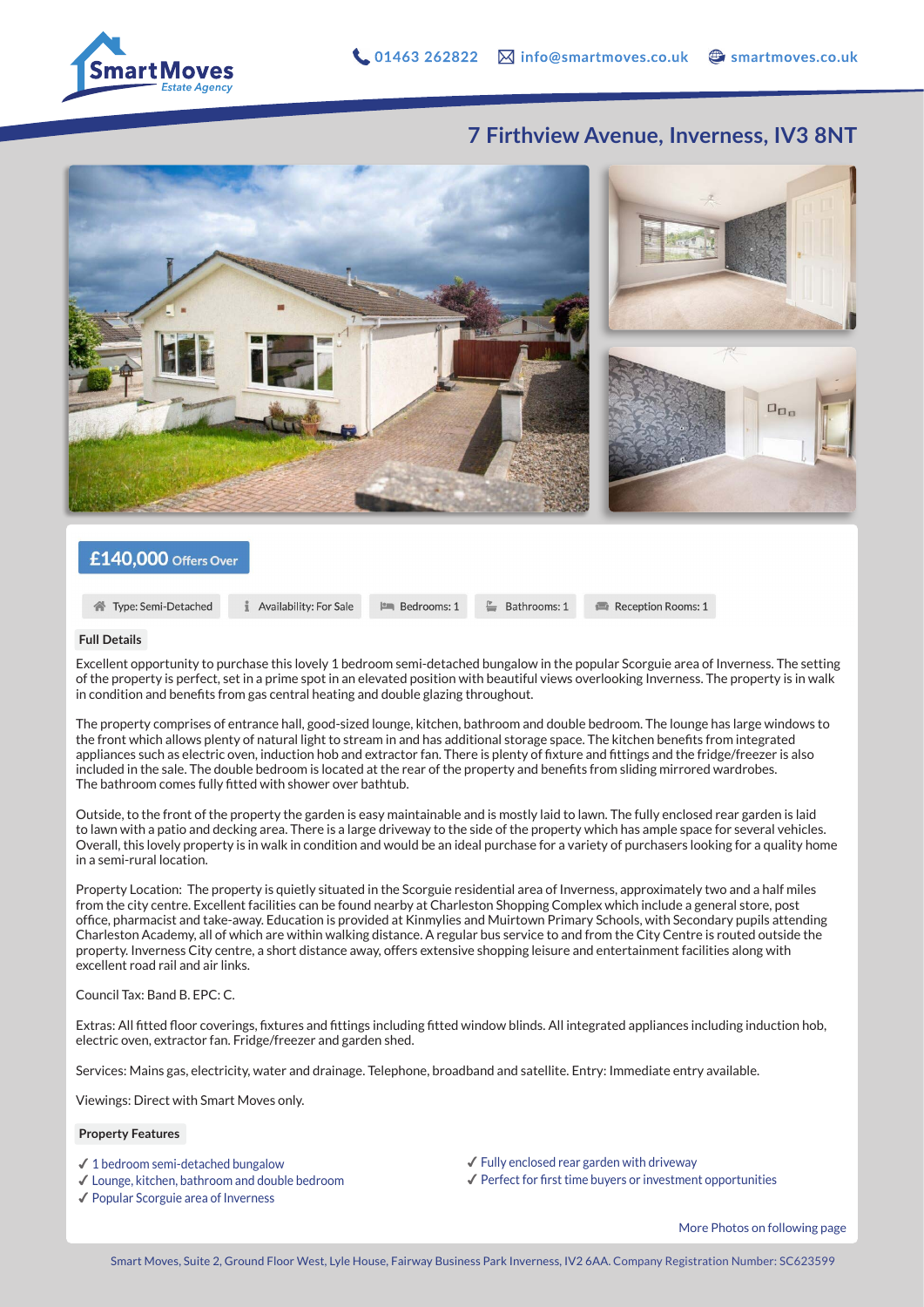

## **7 Firthview Avenue, Inverness, IV3 8NT**



### £140,000 Offers Over

Type: Semi-Detached

**1** Availability: For Sale **Em** Bedrooms: 1

E Bathrooms: 1

Reception Rooms: 1

#### **Full Details**

Excellent opportunity to purchase this lovely 1 bedroom semi-detached bungalow in the popular Scorguie area of Inverness. The setting of the property is perfect, set in a prime spot in an elevated position with beautiful views overlooking Inverness. The property is in walk in condition and benefits from gas central heating and double glazing throughout.

The property comprises of entrance hall, good-sized lounge, kitchen, bathroom and double bedroom. The lounge has large windows to the front which allows plenty of natural light to stream in and has additional storage space. The kitchen benefits from integrated appliances such as electric oven, induction hob and extractor fan. There is plenty of fixture and fittings and the fridge/freezer is also included in the sale. The double bedroom is located at the rear of the property and benefits from sliding mirrored wardrobes. The bathroom comes fully fitted with shower over bathtub.

Outside, to the front of the property the garden is easy maintainable and is mostly laid to lawn. The fully enclosed rear garden is laid to lawn with a patio and decking area. There is a large driveway to the side of the property which has ample space for several vehicles. Overall, this lovely property is in walk in condition and would be an ideal purchase for a variety of purchasers looking for a quality home in a semi-rural location.

Property Location: The property is quietly situated in the Scorguie residential area of Inverness, approximately two and a half miles from the city centre. Excellent facilities can be found nearby at Charleston Shopping Complex which include a general store, post office, pharmacist and take-away. Education is provided at Kinmylies and Muirtown Primary Schools, with Secondary pupils attending Charleston Academy, all of which are within walking distance. A regular bus service to and from the City Centre is routed outside the property. Inverness City centre, a short distance away, offers extensive shopping leisure and entertainment facilities along with excellent road rail and air links.

#### Council Tax: Band B. EPC: C.

Extras: All fitted floor coverings, fixtures and fittings including fitted window blinds. All integrated appliances including induction hob, electric oven, extractor fan. Fridge/freezer and garden shed.

Services: Mains gas, electricity, water and drainage. Telephone, broadband and satellite. Entry: Immediate entry available.

Viewings: Direct with Smart Moves only.

#### **Property Features**

- $\checkmark$  1 bedroom semi-detached bungalow
- ✔︎ Lounge, kitchen, bathroom and double bedroom
- ✔︎ Popular Scorguie area of Inverness
- $\checkmark$  Fully enclosed rear garden with driveway
- $\checkmark$  Perfect for first time buyers or investment opportunities

More Photos on following page